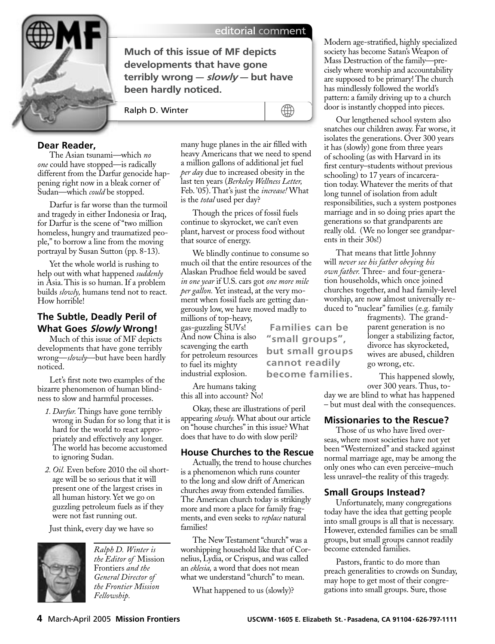

## editorial comment

∰

**Much of this issue of MF depicts developments that have gone terribly wrong – slowly – but have been hardly noticed.**

Ralph D. Winter

## **Dear Reader,**

The Asian tsunami—which *no one* could have stopped—is radically different from the Darfur genocide happening right now in a bleak corner of Sudan—which *could* be stopped.

Darfur is far worse than the turmoil and tragedy in either Indonesia or Iraq, for Darfur is the scene of "two million homeless, hungry and traumatized people," to borrow a line from the moving portrayal by Susan Sutton (pp. 8-13).

Yet the whole world is rushing to help out with what happened *suddenly* in Asia. This is so human. If a problem builds *slowly,* humans tend not to react. How horrible!

# **The Subtle, Deadly Peril of What Goes Slowly Wrong!**

Much of this issue of MF depicts developments that have gone terribly wrong—*slowly*—but have been hardly noticed.

Let's first note two examples of the bizarre phenomenon of human blindness to slow and harmful processes.

- *1. Darfur.* Things have gone terribly wrong in Sudan for so long that it is hard for the world to react appropriately and effectively any longer. The world has become accustomed to ignoring Sudan.
- *2. Oil.* Even before 2010 the oil shortage will be so serious that it will present one of the largest crises in all human history. Yet we go on guzzling petroleum fuels as if they were not fast running out.

Just think, every day we have so



*Ralph D. Winter is the Editor of* Mission Frontiers *and the General Director of the Frontier Mission Fellowship.* 

many huge planes in the air filled with heavy Americans that we need to spend a million gallons of additional jet fuel *per day* due to increased obesity in the last ten years (*Berkeley Wellness Letter,* Feb. '05). That's just the *increase!* What 'is the *total* used per day?

Though the prices of fossil fuels continue to skyrocket, we can't even plant, harvest or process food without that source of energy.

We blindly continue to consume so much oil that the entire resources of the Alaskan Prudhoe field would be saved *in one year* if U.S. cars got *one more mile per gallon.* Yet instead, at the very moment when fossil fuels are getting dangerously low, we have moved madly to millions of top-heavy,

> **Families can be "small groups", but small groups cannot readily**

gas-guzzling SUVs! And now China is also scavenging the earth for petroleum resources to fuel its mighty industrial explosion.

Are humans taking this all into account? No! **become families.**

Okay, these are illustrations of peril appearing *slowly.* What about our article on "house churches" in this issue? What does that have to do with slow peril?

## **House Churches to the Rescue**

Actually, the trend to house churches is a phenomenon which runs counter to the long and slow drift of American churches away from extended families. The American church today is strikingly more and more a place for family fragments, and even seeks to *replace* natural families!

The New Testament "church" was a worshipping household like that of Cornelius, Lydia, or Crispus, and was called an *eklesia,* a word that does not mean what we understand "church" to mean.

What happened to us (slowly)?

Modern age-stratified, highly specialized society has become Satan's Weapon of Mass Destruction of the family—precisely where worship and accountability are supposed to be primary! The church has mindlessly followed the world's pattern: a family driving up to a church door is instantly chopped into pieces.

Our lengthened school system also snatches our children away. Far worse, it isolates the generations. Over 300 years it has (slowly) gone from three years of schooling (as with Harvard in its first century-students without previous schooling) to 17 years of incarceration today. Whatever the merits of that long tunnel of isolation from adult responsibilities, such a system postpones marriage and in so doing pries apart the generations so that grandparents are really old. (We no longer see grandparents in their 30s!)

That means that little Johnny will *never see his father obeying his own father.* Three- and four-generation households, which once joined churches together, and had family-level worship, are now almost universally reduced to "nuclear" families (e.g. family

> fragments). The grandparent generation is no longer a stabilizing factor, divorce has skyrocketed, wives are abused, children go wrong, etc.

> This happened slowly, over 300 years. Thus, to-

day we are blind to what has happened – but must deal with the consequences.

#### **Missionaries to the Rescue?**

Those of us who have lived overseas, where most societies have not yet been "Westernized" and stacked against normal marriage age, may be among the only ones who can even perceive–much less unravel–the reality of this tragedy.

## **Small Groups Instead?**

Unfortunately, many congregations today have the idea that getting people into small groups is all that is necessary. However, extended families can be small groups, but small groups cannot readily become extended families.

Pastors, frantic to do more than preach generalities to crowds on Sunday, may hope to get most of their congregations into small groups. Sure, those